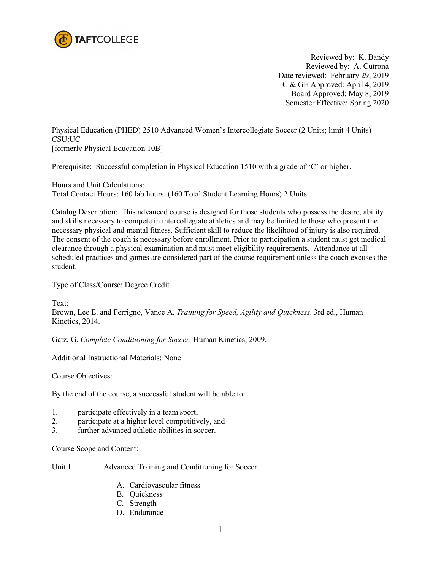

Reviewed by: K. Bandy Reviewed by: A. Cutrona Date reviewed: February 29, 2019 C & GE Approved: April 4, 2019 Board Approved: May 8, 2019 Semester Effective: Spring 2020

## Physical Education (PHED) 2510 Advanced Women's Intercollegiate Soccer (2 Units; limit 4 Units) CSU:UC

[formerly Physical Education 10B]

Prerequisite: Successful completion in Physical Education 1510 with a grade of 'C' or higher.

Hours and Unit Calculations: Total Contact Hours: 160 lab hours. (160 Total Student Learning Hours) 2 Units.

Catalog Description: This advanced course is designed for those students who possess the desire, ability and skills necessary to compete in intercollegiate athletics and may be limited to those who present the necessary physical and mental fitness. Sufficient skill to reduce the likelihood of injury is also required. The consent of the coach is necessary before enrollment. Prior to participation a student must get medical clearance through a physical examination and must meet eligibility requirements. Attendance at all scheduled practices and games are considered part of the course requirement unless the coach excuses the student.

Type of Class/Course: Degree Credit

Text: Brown, Lee E. and Ferrigno, Vance A. *Training for Speed, Agility and Quickness*. 3rd ed., Human Kinetics, 2014.

Gatz, G. *Complete Conditioning for Soccer.* Human Kinetics, 2009.

Additional Instructional Materials: None

Course Objectives:

By the end of the course, a successful student will be able to:

- 1. participate effectively in a team sport,
- 2. participate at a higher level competitively, and
- 3. further advanced athletic abilities in soccer.

Course Scope and Content:

- Unit I Advanced Training and Conditioning for Soccer
	- A. Cardiovascular fitness
	- B. Quickness
	- C. Strength
	- D. Endurance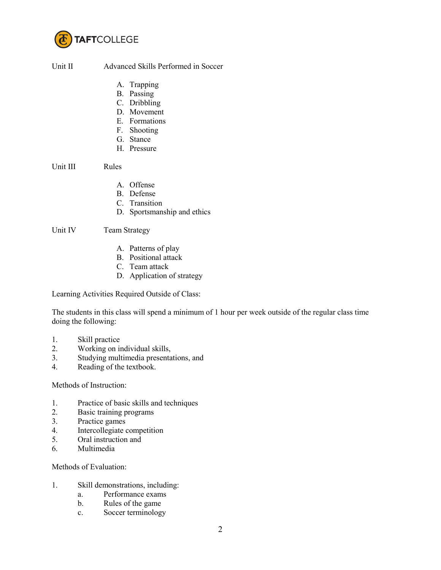

## Unit II Advanced Skills Performed in Soccer

- A. Trapping
- B. Passing
- C. Dribbling
- D. Movement
- E. Formations
- F. Shooting
- G. Stance
- H. Pressure

Unit III Rules

- A. Offense
- B. Defense
- C. Transition
- D. Sportsmanship and ethics

Unit IV Team Strategy

- A. Patterns of play
- B. Positional attack
- C. Team attack
- D. Application of strategy

Learning Activities Required Outside of Class:

The students in this class will spend a minimum of 1 hour per week outside of the regular class time doing the following:

- 1. Skill practice
- 2. Working on individual skills,
- 3. Studying multimedia presentations, and
- 4. Reading of the textbook.

## Methods of Instruction:

- 1. Practice of basic skills and techniques
- 2. Basic training programs<br>3. Practice games
- Practice games
- 4. Intercollegiate competition
- 5. Oral instruction and
- 6. Multimedia

## Methods of Evaluation:

- 1. Skill demonstrations, including:
	- a. Performance exams
	- b. Rules of the game
	- c. Soccer terminology